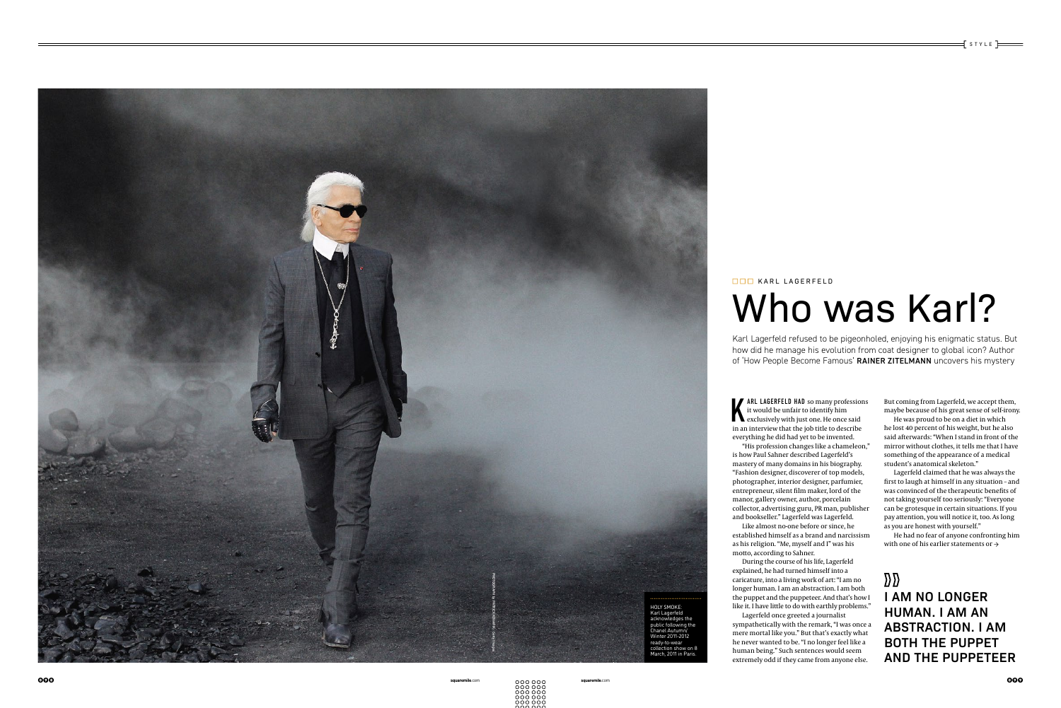Karl Lagerfeld refused to be pigeonholed, enjoying his enigmatic status. But how did he manage his evolution from coat designer to global icon? Author of 'How People Become Famous' RAINER ZITELMANN uncovers his mystery

# ■■■ KARL LAGERFELD

K ARL LAGERFELD HAD so many profession<br>it would be unfair to identify him<br>exclusively with just one. He once said<br>in an interview that the job title to describe ARL LAGERFELD HAD so many professions it would be unfair to identify him in an interview that the job title to describe everything he did had yet to be invented. "His profession changes like a chameleon," is how Paul Sahner described Lagerfeld's mastery of many domains in his biography. "Fashion designer, discoverer of top models, photographer, interior designer, parfumier, entrepreneur, silent film maker, lord of the manor, gallery owner, author, porcelain collector, advertising guru, PR man, publisher and bookseller." Lagerfeld was Lagerfeld. Like almost no-one before or since, he established himself as a brand and narcissism as his religion. "Me, myself and I" was his

motto, according to Sahner.

He had no fear of anyone confronting him with one of his earlier statements or  $\rightarrow$ 

 $D<sub>D</sub>$ **I AM NO LONGER HUMAN. I AM AN ABSTRACTION. I AM BOTH THE PUPPET AND THE PUPPETEER**



During the course of his life, Lagerfeld explained, he had turned himself into a caricature, into a living work of art: "I am no longer human. I am an abstraction. I am both the puppet and the puppeteer. And that's how I like it. I have little to do with earthly problems." Lagerfeld once greeted a journalist sympathetically with the remark, "I was once a mere mortal like you." But that's exactly what he never wanted to be. "I no longer feel like a human being." Such sentences would seem extremely odd if they came from anyone else.

But coming from Lagerfeld, we accept them, maybe because of his great sense of self-irony.

 $\exists$  style  $\overline{\phantom{0}}$ 

He was proud to be on a diet in which he lost 40 percent of his weight, but he also said afterwards: "When I stand in front of the mirror without clothes, it tells me that I have something of the appearance of a medical student's anatomical skeleton."

Lagerfeld claimed that he was always the first to laugh at himself in any situation – and was convinced of the therapeutic benefits of not taking yourself too seriously: "Everyone can be grotesque in certain situations. If you pay attention, you will notice it, too. As long as you are honest with yourself."

098 **squaremile**.com **squaremile**.com 099

## Who was Karl?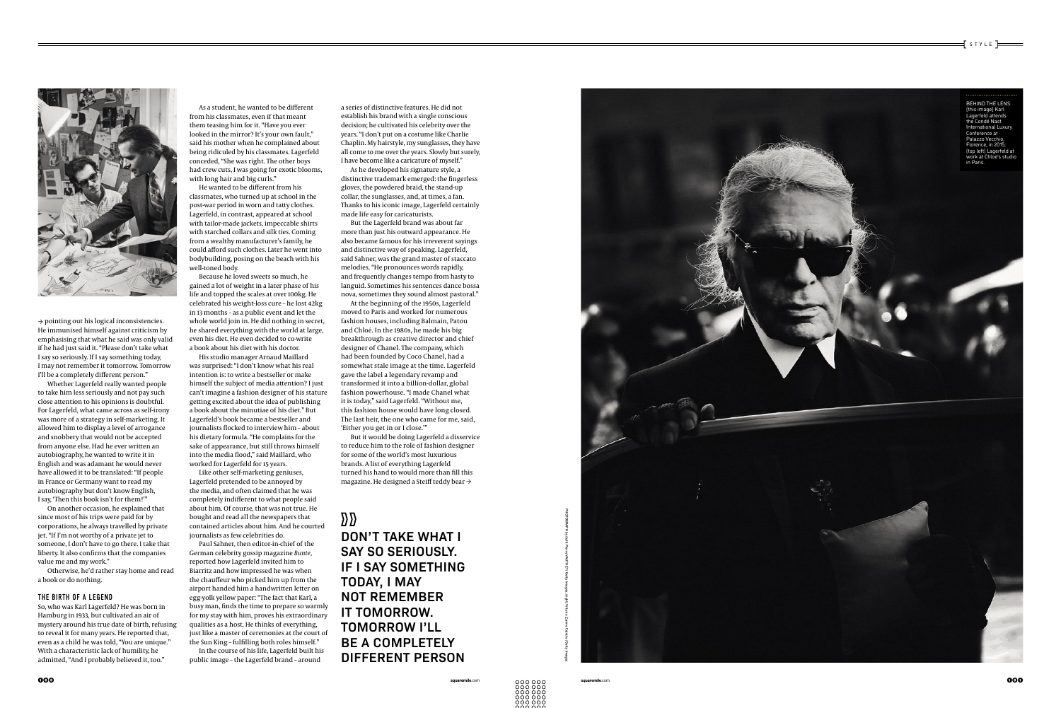

 $\rightarrow$  pointing out his logical inconsistencies. He immunised himself against criticism by emphasising that what he said was only valid if he had just said it. "Please don't take what I say so seriously. If I say something today, I may not remember it tomorrow. Tomorrow I'll be a completely different person."

Whether Lagerfeld really wanted people to take him less seriously and not pay such close attention to his opinions is doubtful. For Lagerfeld, what came across as self-irony was more of a strategy in self-marketing. It allowed him to display a level of arrogance and snobbery that would not be accepted from anyone else. Had he ever written an autobiography, he wanted to write it in English and was adamant he would never have allowed it to be translated: "If people in France or Germany want to read my autobiography but don't know English, I say, 'Then this book isn't for them!'"

On another occasion, he explained that since most of his trips were paid for by corporations, he always travelled by private jet. "If I'm not worthy of a private jet to someone, I don't have to go there. I take that liberty. It also confirms that the companies value me and my work."

Otherwise, he'd rather stay home and read a book or do nothing.

#### THE BIRTH OF A LEGEND

So, who was Karl Lagerfeld? He was born in Hamburg in 1933, but cultivated an air of mystery around his true date of birth, refusing to reveal it for many years. He reported that, even as a child he was told, "You are unique." With a characteristic lack of humility, he admitted, "And I probably believed it, too."

As a student, he wanted to be different from his classmates, even if that meant them teasing him for it. "Have you ever looked in the mirror? It's your own fault," said his mother when he complained about being ridiculed by his classmates. Lagerfeld conceded, "She was right. The other boys had crew cuts, I was going for exotic blooms, with long hair and big curls."

He wanted to be different from his classmates, who turned up at school in the post-war period in worn and tatty clothes. Lagerfeld, in contrast, appeared at school with tailor-made jackets, impeccable shirts with starched collars and silk ties. Coming from a wealthy manufacturer's family, he could afford such clothes. Later he went into bodybuilding, posing on the beach with his well-toned body.

Because he loved sweets so much, he gained a lot of weight in a later phase of his life and topped the scales at over 100kg. He celebrated his weight-loss cure – he lost 42kg in 13 months – as a public event and let the whole world join in. He did nothing in secret, he shared everything with the world at large, even his diet. He even decided to co-write a book about his diet with his doctor.

His studio manager Arnaud Maillard was surprised: "I don't know what his real intention is: to write a bestseller or make himself the subject of media attention? I just can't imagine a fashion designer of his stature getting excited about the idea of publishing a book about the minutiae of his diet." But Lagerfeld's book became a bestseller and journalists flocked to interview him – about his dietary formula. "He complains for the sake of appearance, but still throws himself into the media flood," said Maillard, who worked for Lagerfeld for 15 years.



 $f$  style  $\equiv$ 

Like other self-marketing geniuses, Lagerfeld pretended to be annoyed by the media, and often claimed that he was completely indifferent to what people said about him. Of course, that was not true. He bought and read all the newspapers that contained articles about him. And he courted journalists as few celebrities do.

Paul Sahner, then editor-in-chief of the German celebrity gossip magazine *Bunte*, reported how Lagerfeld invited him to Biarritz and how impressed he was when the chauffeur who picked him up from the airport handed him a handwritten letter on egg-yolk yellow paper: "The fact that Karl, a busy man, finds the time to prepare so warmly for my stay with him, proves his extraordinary qualities as a host. He thinks of everything, just like a master of ceremonies at the court of the Sun King – fulfilling both roles himself."

In the course of his life, Lagerfeld built his public image – the Lagerfeld brand – around

a series of distinctive features. He did not establish his brand with a single conscious decision; he cultivated his celebrity over the years. "I don't put on a costume like Charlie Chaplin. My hairstyle, my sunglasses, they have all come to me over the years. Slowly but surely, I have become like a caricature of myself."

As he developed his signature style, a distinctive trademark emerged: the fingerless gloves, the powdered braid, the stand-up collar, the sunglasses, and, at times, a fan. Thanks to his iconic image, Lagerfeld certainly made life easy for caricaturists.

But the Lagerfeld brand was about far more than just his outward appearance. He also became famous for his irreverent sayings and distinctive way of speaking. Lagerfeld, said Sahner, was the grand master of staccato melodies. "He pronounces words rapidly, and frequently changes tempo from hasty to languid. Sometimes his sentences dance bossa nova, sometimes they sound almost pastoral."

At the beginning of the 1950s, Lagerfeld moved to Paris and worked for numerous fashion houses, including Balmain, Patou and Chloé. In the 1980s, he made his big breakthrough as creative director and chief designer of Chanel. The company, which had been founded by Coco Chanel, had a somewhat stale image at the time. Lagerfeld gave the label a legendary revamp and transformed it into a billion-dollar, global fashion powerhouse. "I made Chanel what it is today," said Lagerfeld. "Without me, this fashion house would have long closed. The last heir, the one who came for me, said, 'Either you get in or I close.'"

But it would be doing Lagerfeld a disservice to reduce him to the role of fashion designer for some of the world's most luxurious brands. A list of everything Lagerfeld turned his hand to would more than fill this magazine. He designed a Steiff teddy bear →

### $\mathcal{D}\mathcal{D}$

**DON'T TAKE WHAT I SAY SO SERIOUSLY. IF I SAY SOMETHING TODAY, I MAY NOT REMEMBER IT TOMORROW. TOMORROW I'LL BE A COMPLETELY DIFFERENT PERSON**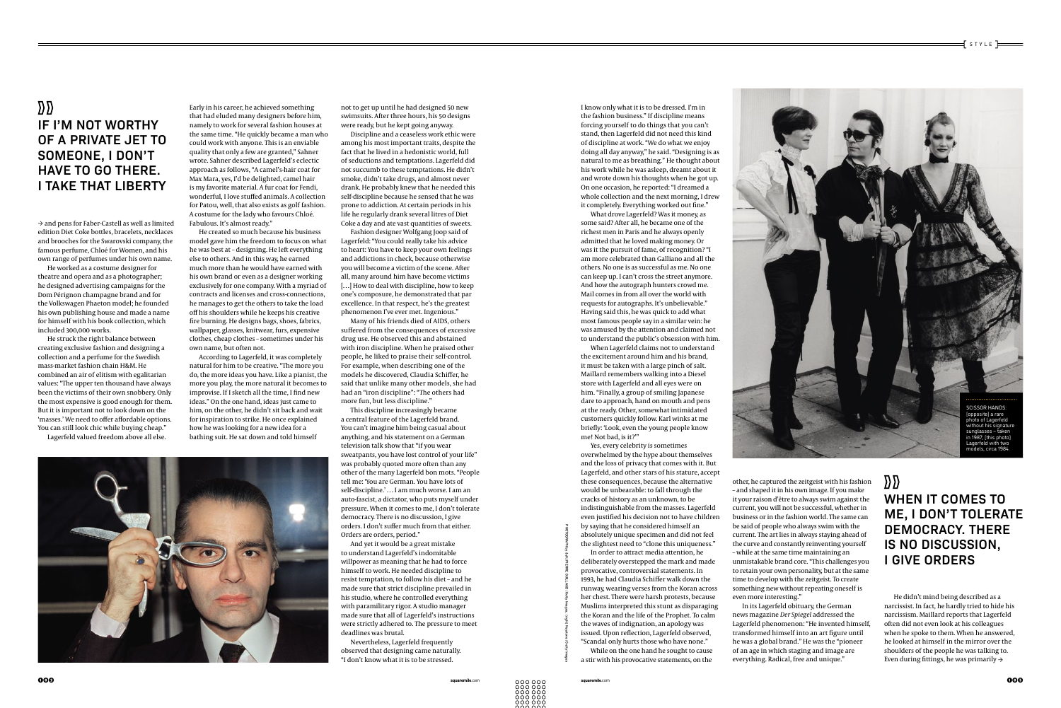PHOTOGRAPH by (left) PIERRE GUILLAUD / Getty Images; (right) Keystone / Getty Images

→ and pens for Faber-Castell as well as limited edition Diet Coke bottles, bracelets, necklaces and brooches for the Swarovski company, the famous perfume, Chloé for Women, and his own range of perfumes under his own name.

He worked as a costume designer for theatre and opera and as a photographer; he designed advertising campaigns for the Dom Pérignon champagne brand and for the Volkswagen Phaeton model; he founded his own publishing house and made a name for himself with his book collection, which included 300,000 works.

He struck the right balance between creating exclusive fashion and designing a collection and a perfume for the Swedish mass-market fashion chain H&M. He combined an air of elitism with egalitarian values: "The upper ten thousand have always been the victims of their own snobbery. Only the most expensive is good enough for them. But it is important not to look down on the 'masses.' We need to offer affordable options. You can still look chic while buying cheap."

Lagerfeld valued freedom above all else.

Early in his career, he achieved something that had eluded many designers before him, namely to work for several fashion houses at the same time. "He quickly became a man who could work with anyone. This is an enviable quality that only a few are granted," Sahner wrote. Sahner described Lagerfeld's eclectic approach as follows, "A camel's-hair coat for Max Mara, yes, I'd be delighted, camel hair is my favorite material. A fur coat for Fendi, wonderful, I love stuffed animals. A collection for Patou, well, that also exists as golf fashion. A costume for the lady who favours Chloé. Fabulous. It's almost ready."

He created so much because his business model gave him the freedom to focus on what he was best at – designing. He left everything else to others. And in this way, he earned much more than he would have earned with his own brand or even as a designer working exclusively for one company. With a myriad of contracts and licenses and cross-connections, he manages to get the others to take the load off his shoulders while he keeps his creative fire burning. He designs bags, shoes, fabrics, wallpaper, glasses, knitwear, furs, expensive clothes, cheap clothes – sometimes under his own name, but often not.

According to Lagerfeld, it was completely natural for him to be creative. "The more you do, the more ideas you have. Like a pianist, the more you play, the more natural it becomes to improvise. If I sketch all the time, I find new ideas." On the one hand, ideas just came to him, on the other, he didn't sit back and wait for inspiration to strike. He once explained how he was looking for a new idea for a bathing suit. He sat down and told himself

not to get up until he had designed 50 new swimsuits. After three hours, his 50 designs were ready, but he kept going anyway.

Discipline and a ceaseless work ethic were among his most important traits, despite the fact that he lived in a hedonistic world, full of seductions and temptations. Lagerfeld did not succumb to these temptations. He didn't smoke, didn't take drugs, and almost never drank. He probably knew that he needed this self-discipline because he sensed that he was prone to addiction. At certain periods in his life he regularly drank several litres of Diet Coke a day and ate vast quantities of sweets.

Fashion designer Wolfgang Joop said of Lagerfeld: "You could really take his advice to heart: You have to keep your own feelings and addictions in check, because otherwise you will become a victim of the scene. After all, many around him have become victims [...] How to deal with discipline, how to keep one's composure, he demonstrated that par excellence. In that respect, he's the greatest phenomenon I've ever met. Ingenious."

Many of his friends died of AIDS, others suffered from the consequences of excessive drug use. He observed this and abstained with iron discipline. When he praised other people, he liked to praise their self-control. For example, when describing one of the models he discovered, Claudia Schiffer, he said that unlike many other models, she had had an "iron discipline": "The others had more fun, but less discipline."

> He didn't mind being described as a narcissist. In fact, he hardly tried to hide his narcissism. Maillard reports that Lagerfeld often did not even look at his colleagues when he spoke to them. When he answered, he looked at himself in the mirror over the shoulders of the people he was talking to. Even during fittings, he was primarily  $\rightarrow$

This discipline increasingly became a central feature of the Lagerfeld brand. You can't imagine him being casual about anything, and his statement on a German television talk show that "if you wear sweatpants, you have lost control of your life" was probably quoted more often than any other of the many Lagerfeld bon mots. "People tell me: 'You are German. You have lots of self-discipline.' … I am much worse. I am an auto-fascist, a dictator, who puts myself under pressure. When it comes to me, I don't tolerate democracy. There is no discussion, I give orders. I don't suffer much from that either. Orders are orders, period."

#### $\mathcal{D} \mathcal{D}$ **IF I'M NOT WORTHY OF A PRIVATE JET TO SOMEONE, I DON'T HAVE TO GO THERE. I TAKE THAT LIBERTY**

#### $\mathcal{D}\mathcal{D}$ **WHEN IT COMES TO ME, I DON'T TOLERATE DEMOCRACY. THERE IS NO DISCUSSION, I GIVE ORDERS**

And yet it would be a great mistake to understand Lagerfeld's indomitable willpower as meaning that he had to force himself to work. He needed discipline to resist temptation, to follow his diet – and he made sure that strict discipline prevailed in his studio, where he controlled everything with paramilitary rigor. A studio manager made sure that all of Lagerfeld's instructions were strictly adhered to. The pressure to meet deadlines was brutal.

Nevertheless, Lagerfeld frequently observed that designing came naturally. "I don't know what it is to be stressed.

I know only what it is to be dressed. I'm in the fashion business." If discipline means forcing yourself to do things that you can't stand, then Lagerfeld did not need this kind of discipline at work. "We do what we enjoy doing all day anyway," he said. "Designing is as natural to me as breathing." He thought about his work while he was asleep, dreamt about it and wrote down his thoughts when he got up. On one occasion, he reported: "I dreamed a

whole collection and the next morning, I drew it completely. Everything worked out fine." What drove Lagerfeld? Was it money, as some said? After all, he became one of the richest men in Paris and he always openly admitted that he loved making money. Or was it the pursuit of fame, of recognition? "I am more celebrated than Galliano and all the others. No one is as successful as me. No one can keep up. I can't cross the street anymore. And how the autograph hunters crowd me. Mail comes in from all over the world with requests for autographs. It's unbelievable." Having said this, he was quick to add what most famous people say in a similar vein: he was amused by the attention and claimed not to understand the public's obsession with him. When Lagerfeld claims not to understand the excitement around him and his brand, it must be taken with a large pinch of salt. Maillard remembers walking into a Diesel store with Lagerfeld and all eyes were on him. "Finally, a group of smiling Japanese dare to approach, hand on mouth and pens at the ready. Other, somewhat intimidated customers quickly follow. Karl winks at me briefly: 'Look, even the young people know me! Not bad, is it?'" Yes, every celebrity is sometimes

overwhelmed by the hype about themselves and the loss of privacy that comes with it. But Lagerfeld, and other stars of his stature, accept these consequences, because the alternative would be unbearable: to fall through the cracks of history as an unknown, to be indistinguishable from the masses. Lagerfeld even justified his decision not to have children by saying that he considered himself an absolutely unique specimen and did not feel the slightest need to "clone this uniqueness."

In order to attract media attention, he deliberately overstepped the mark and made provocative, controversial statements. In 1993, he had Claudia Schiffer walk down the runway, wearing verses from the Koran across her chest. There were harsh protests, because Muslims interpreted this stunt as disparaging the Koran and the life of the Prophet. To calm the waves of indignation, an apology was issued. Upon reflection, Lagerfeld observed, "Scandal only hurts those who have none."

While on the one hand he sought to cause a stir with his provocative statements, on the



other, he captured the zeitgeist with his fashion – and shaped it in his own image. If you make it your raison d'être to always swim against the current, you will not be successful, whether in business or in the fashion world. The same can be said of people who always swim with the current. The art lies in always staying ahead of the curve and constantly reinventing yourself – while at the same time maintaining an unmistakable brand core. "This challenges you to retain your own personality, but at the same time to develop with the zeitgeist. To create something new without repeating oneself is even more interesting."

In its Lagerfeld obituary, the German news magazine *Der Spiegel* addressed the Lagerfeld phenomenon: "He invented himself, transformed himself into an art figure until he was a global brand." He was the "pioneer of an age in which staging and image are everything. Radical, free and unique."